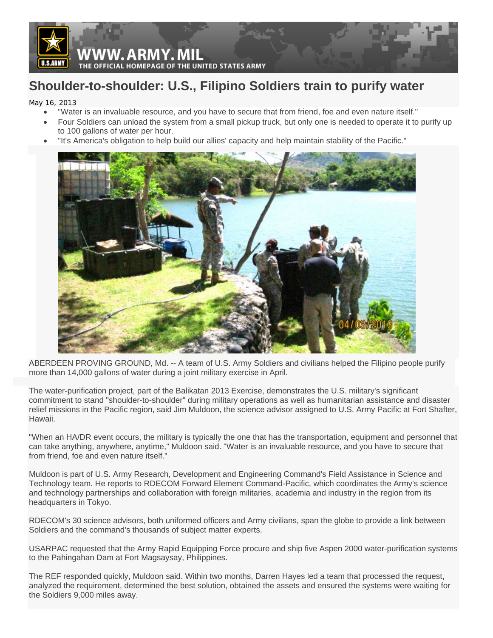

## **Shoulder-to-shoulder: U.S., Filipino Soldiers train to purify water**

May 16, 2013

- "Water is an invaluable resource, and you have to secure that from friend, foe and even nature itself."
- Four Soldiers can unload the system from a small pickup truck, but only one is needed to operate it to purify up to 100 gallons of water per hour.
- "It's America's obligation to help build our allies' capacity and help maintain stability of the Pacific."



ABERDEEN PROVING GROUND, Md. -- A team of U.S. Army Soldiers and civilians helped the Filipino people purify more than 14,000 gallons of water during a joint military exercise in April.

The water-purification project, part of the Balikatan 2013 Exercise, demonstrates the U.S. military's significant commitment to stand "shoulder-to-shoulder" during military operations as well as humanitarian assistance and disaster relief missions in the Pacific region, said Jim Muldoon, the science advisor assigned to U.S. Army Pacific at Fort Shafter, Hawaii.

"When an HA/DR event occurs, the military is typically the one that has the transportation, equipment and personnel that can take anything, anywhere, anytime," Muldoon said. "Water is an invaluable resource, and you have to secure that from friend, foe and even nature itself."

Muldoon is part of U.S. Army Research, Development and Engineering Command's Field Assistance in Science and Technology team. He reports to RDECOM Forward Element Command-Pacific, which coordinates the Army's science and technology partnerships and collaboration with foreign militaries, academia and industry in the region from its headquarters in Tokyo.

RDECOM's 30 science advisors, both uniformed officers and Army civilians, span the globe to provide a link between Soldiers and the command's thousands of subject matter experts.

USARPAC requested that the Army Rapid Equipping Force procure and ship five Aspen 2000 water-purification systems to the Pahingahan Dam at Fort Magsaysay, Philippines.

The REF responded quickly, Muldoon said. Within two months, Darren Hayes led a team that processed the request, analyzed the requirement, determined the best solution, obtained the assets and ensured the systems were waiting for the Soldiers 9,000 miles away.